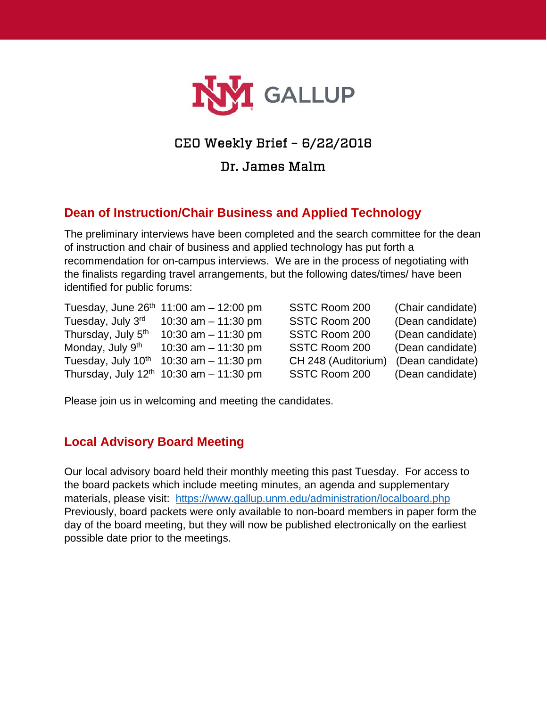

# CEO Weekly Brief – 6/22/2018

Dr. James Malm

# **Dean of Instruction/Chair Business and Applied Technology**

The preliminary interviews have been completed and the search committee for the dean of instruction and chair of business and applied technology has put forth a recommendation for on-campus interviews. We are in the process of negotiating with the finalists regarding travel arrangements, but the following dates/times/ have been identified for public forums:

|                                | Tuesday, June $26^{th}$ 11:00 am - 12:00 pm  | SSTC Room 200       | (Chair candidate) |
|--------------------------------|----------------------------------------------|---------------------|-------------------|
| Tuesday, July 3rd              | 10:30 am $-$ 11:30 pm                        | SSTC Room 200       | (Dean candidate)  |
| Thursday, July 5 <sup>th</sup> | 10:30 am $-$ 11:30 pm                        | SSTC Room 200       | (Dean candidate)  |
| Monday, July 9th               | 10:30 am $-$ 11:30 pm                        | SSTC Room 200       | (Dean candidate)  |
| Tuesday, July 10th             | 10:30 am $-$ 11:30 pm                        | CH 248 (Auditorium) | (Dean candidate)  |
|                                | Thursday, July $12^{th}$ 10:30 am - 11:30 pm | SSTC Room 200       | (Dean candidate)  |

Please join us in welcoming and meeting the candidates.

#### **Local Advisory Board Meeting**

Our local advisory board held their monthly meeting this past Tuesday. For access to the board packets which include meeting minutes, an agenda and supplementary materials, please visit: <https://www.gallup.unm.edu/administration/localboard.php> Previously, board packets were only available to non-board members in paper form the day of the board meeting, but they will now be published electronically on the earliest possible date prior to the meetings.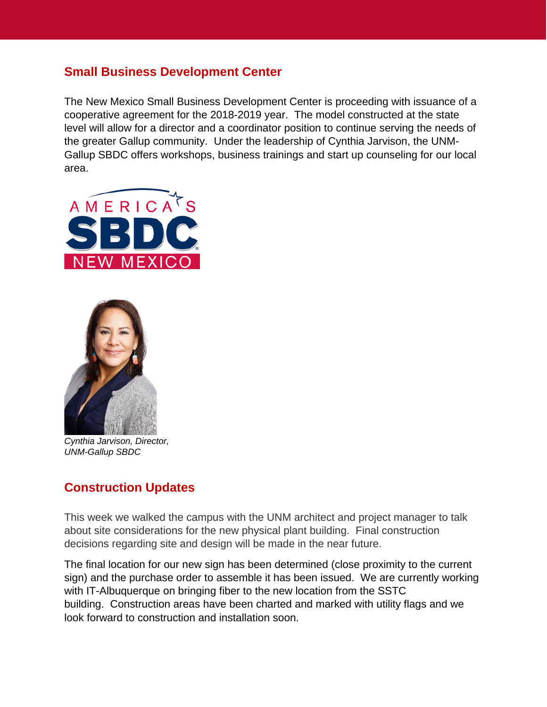### **Small Business Development Center**

The New Mexico Small Business Development Center is proceeding with issuance of a cooperative agreement for the 2018-2019 year. The model constructed at the state level will allow for a director and a coordinator position to continue serving the needs of the greater Gallup community. Under the leadership of Cynthia Jarvison, the UNM-Gallup SBDC offers workshops, business trainings and start up counseling for our local area.





*Cynthia Jarvison, Director, UNM-Gallup SBDC*

### **Construction Updates**

This week we walked the campus with the UNM architect and project manager to talk about site considerations for the new physical plant building. Final construction decisions regarding site and design will be made in the near future.

The final location for our new sign has been determined (close proximity to the current sign) and the purchase order to assemble it has been issued. We are currently working with IT-Albuquerque on bringing fiber to the new location from the SSTC building. Construction areas have been charted and marked with utility flags and we look forward to construction and installation soon.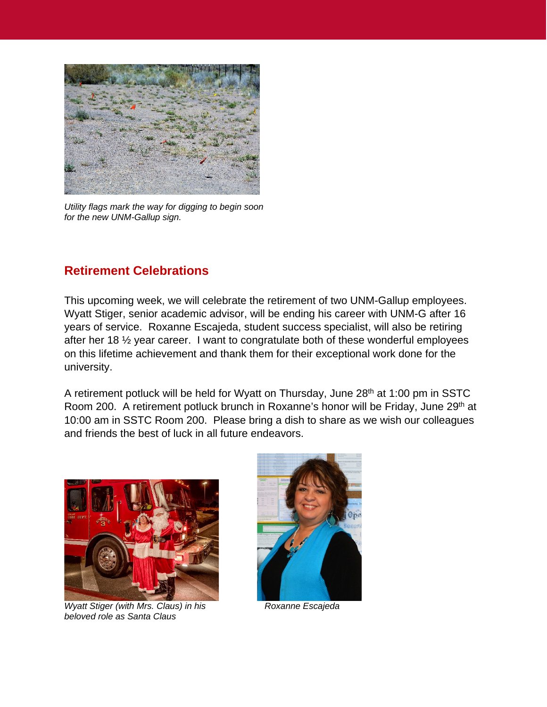

*Utility flags mark the way for digging to begin soon for the new UNM-Gallup sign.*

# **Retirement Celebrations**

This upcoming week, we will celebrate the retirement of two UNM-Gallup employees. Wyatt Stiger, senior academic advisor, will be ending his career with UNM-G after 16 years of service. Roxanne Escajeda, student success specialist, will also be retiring after her 18 ½ year career. I want to congratulate both of these wonderful employees on this lifetime achievement and thank them for their exceptional work done for the university.

A retirement potluck will be held for Wyatt on Thursday, June 28<sup>th</sup> at 1:00 pm in SSTC Room 200. A retirement potluck brunch in Roxanne's honor will be Friday, June 29<sup>th</sup> at 10:00 am in SSTC Room 200. Please bring a dish to share as we wish our colleagues and friends the best of luck in all future endeavors.



*Wyatt Stiger (with Mrs. Claus) in his* **Roxanne Escajeda** *beloved role as Santa Claus*